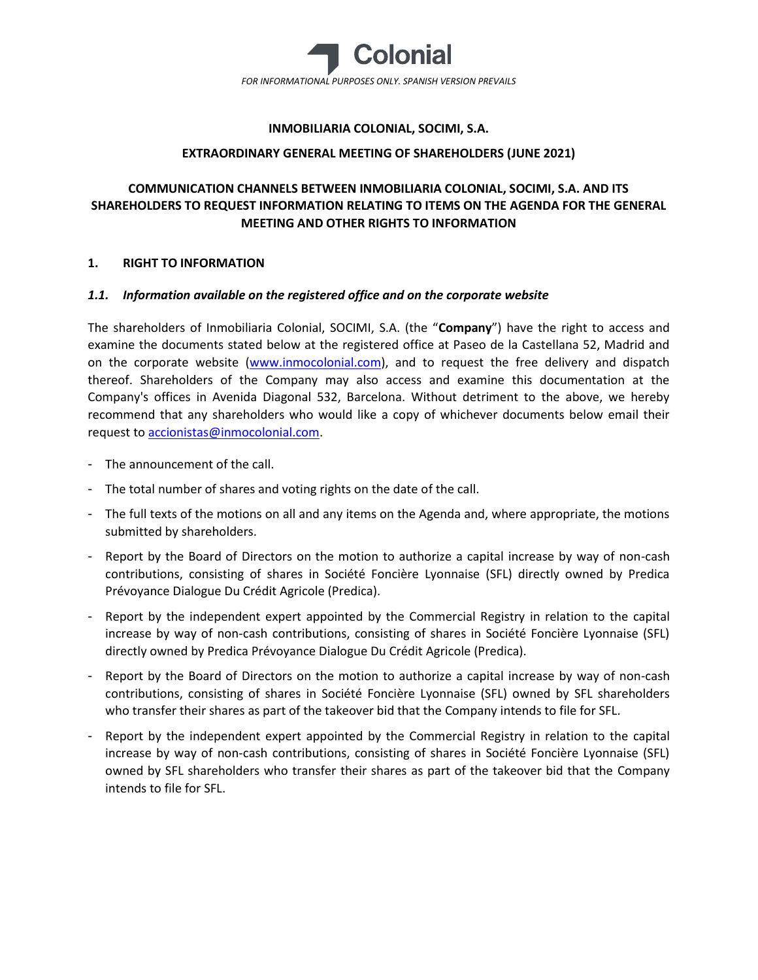

### **INMOBILIARIA COLONIAL, SOCIMI, S.A.**

#### **EXTRAORDINARY GENERAL MEETING OF SHAREHOLDERS (JUNE 2021)**

# **COMMUNICATION CHANNELS BETWEEN INMOBILIARIA COLONIAL, SOCIMI, S.A. AND ITS SHAREHOLDERS TO REQUEST INFORMATION RELATING TO ITEMS ON THE AGENDA FOR THE GENERAL MEETING AND OTHER RIGHTS TO INFORMATION**

#### **1. RIGHT TO INFORMATION**

#### *1.1. Information available on the registered office and on the corporate website*

The shareholders of Inmobiliaria Colonial, SOCIMI, S.A. (the "**Company**") have the right to access and examine the documents stated below at the registered office at Paseo de la Castellana 52, Madrid and on the corporate website [\(www.inmocolonial.com\)](http://www.inmocolonial.com/), and to request the free delivery and dispatch thereof. Shareholders of the Company may also access and examine this documentation at the Company's offices in Avenida Diagonal 532, Barcelona. Without detriment to the above, we hereby recommend that any shareholders who would like a copy of whichever documents below email their request t[o accionistas@inmocolonial.com.](mailto:accionistas@inmocolonial.com)

- The announcement of the call.
- The total number of shares and voting rights on the date of the call.
- The full texts of the motions on all and any items on the Agenda and, where appropriate, the motions submitted by shareholders.
- Report by the Board of Directors on the motion to authorize a capital increase by way of non-cash contributions, consisting of shares in Société Foncière Lyonnaise (SFL) directly owned by Predica Prévoyance Dialogue Du Crédit Agricole (Predica).
- Report by the independent expert appointed by the Commercial Registry in relation to the capital increase by way of non-cash contributions, consisting of shares in Société Foncière Lyonnaise (SFL) directly owned by Predica Prévoyance Dialogue Du Crédit Agricole (Predica).
- Report by the Board of Directors on the motion to authorize a capital increase by way of non-cash contributions, consisting of shares in Société Foncière Lyonnaise (SFL) owned by SFL shareholders who transfer their shares as part of the takeover bid that the Company intends to file for SFL.
- Report by the independent expert appointed by the Commercial Registry in relation to the capital increase by way of non-cash contributions, consisting of shares in Société Foncière Lyonnaise (SFL) owned by SFL shareholders who transfer their shares as part of the takeover bid that the Company intends to file for SFL.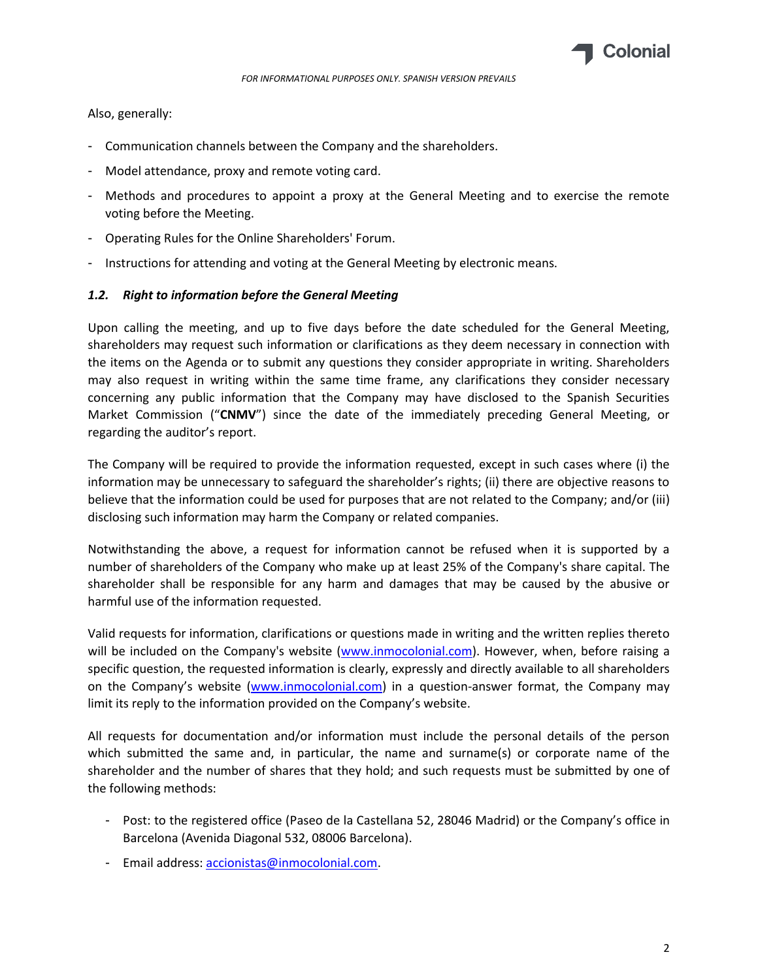

Also, generally:

- Communication channels between the Company and the shareholders.
- Model attendance, proxy and remote voting card.
- Methods and procedures to appoint a proxy at the General Meeting and to exercise the remote voting before the Meeting.
- Operating Rules for the Online Shareholders' Forum.
- Instructions for attending and voting at the General Meeting by electronic means.

#### *1.2. Right to information before the General Meeting*

Upon calling the meeting, and up to five days before the date scheduled for the General Meeting, shareholders may request such information or clarifications as they deem necessary in connection with the items on the Agenda or to submit any questions they consider appropriate in writing. Shareholders may also request in writing within the same time frame, any clarifications they consider necessary concerning any public information that the Company may have disclosed to the Spanish Securities Market Commission ("**CNMV**") since the date of the immediately preceding General Meeting, or regarding the auditor's report.

The Company will be required to provide the information requested, except in such cases where (i) the information may be unnecessary to safeguard the shareholder's rights; (ii) there are objective reasons to believe that the information could be used for purposes that are not related to the Company; and/or (iii) disclosing such information may harm the Company or related companies.

Notwithstanding the above, a request for information cannot be refused when it is supported by a number of shareholders of the Company who make up at least 25% of the Company's share capital. The shareholder shall be responsible for any harm and damages that may be caused by the abusive or harmful use of the information requested.

Valid requests for information, clarifications or questions made in writing and the written replies thereto will be included on the Company's website [\(www.inmocolonial.com\)](http://www.inmocolonial.com/). However, when, before raising a specific question, the requested information is clearly, expressly and directly available to all shareholders on the Company's website ([www.inmocolonial.com\)](http://www.inmocolonial.com/) in a question-answer format, the Company may limit its reply to the information provided on the Company's website.

All requests for documentation and/or information must include the personal details of the person which submitted the same and, in particular, the name and surname(s) or corporate name of the shareholder and the number of shares that they hold; and such requests must be submitted by one of the following methods:

- Post: to the registered office (Paseo de la Castellana 52, 28046 Madrid) or the Company's office in Barcelona (Avenida Diagonal 532, 08006 Barcelona).
- Email address[: accionistas@inmocolonial.com.](mailto:accionistas@inmocolonial.com)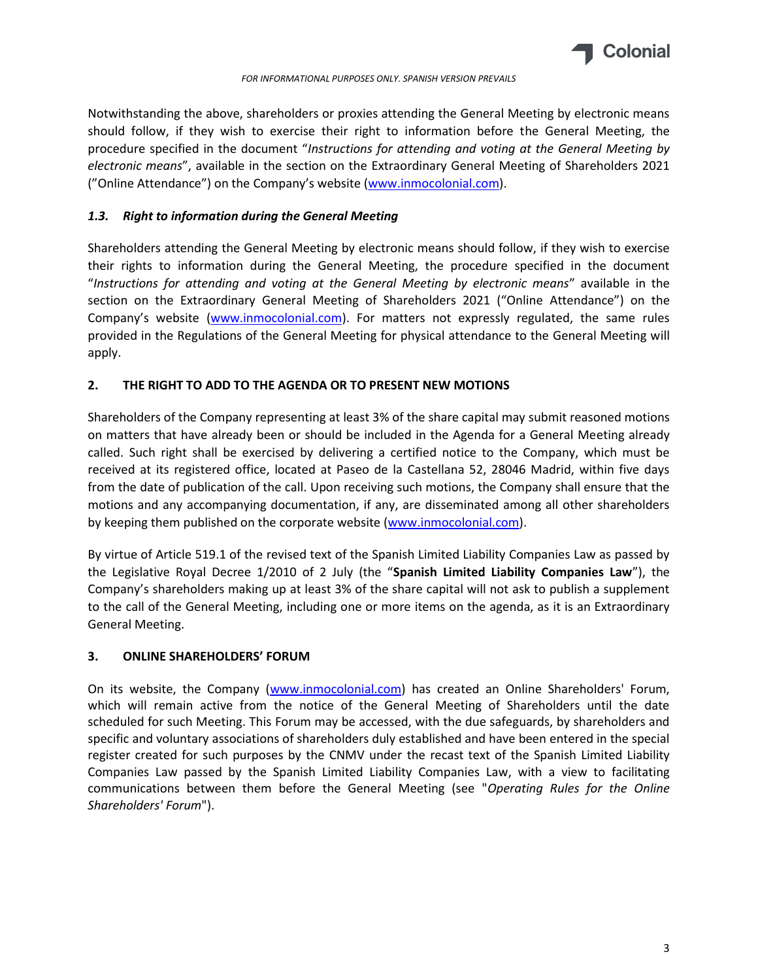

*FOR INFORMATIONAL PURPOSES ONLY. SPANISH VERSION PREVAILS*

Notwithstanding the above, shareholders or proxies attending the General Meeting by electronic means should follow, if they wish to exercise their right to information before the General Meeting, the procedure specified in the document "*Instructions for attending and voting at the General Meeting by electronic means*", available in the section on the Extraordinary General Meeting of Shareholders 2021 ("Online Attendance") on the Company's website ([www.inmocolonial.com\)](http://www.inmocolonial.com/).

## *1.3. Right to information during the General Meeting*

Shareholders attending the General Meeting by electronic means should follow, if they wish to exercise their rights to information during the General Meeting, the procedure specified in the document "*Instructions for attending and voting at the General Meeting by electronic means*" available in the section on the Extraordinary General Meeting of Shareholders 2021 ("Online Attendance") on the Company's website ([www.inmocolonial.com\)](http://www.inmocolonial.com/). For matters not expressly regulated, the same rules provided in the Regulations of the General Meeting for physical attendance to the General Meeting will apply.

## **2. THE RIGHT TO ADD TO THE AGENDA OR TO PRESENT NEW MOTIONS**

Shareholders of the Company representing at least 3% of the share capital may submit reasoned motions on matters that have already been or should be included in the Agenda for a General Meeting already called. Such right shall be exercised by delivering a certified notice to the Company, which must be received at its registered office, located at Paseo de la Castellana 52, 28046 Madrid, within five days from the date of publication of the call. Upon receiving such motions, the Company shall ensure that the motions and any accompanying documentation, if any, are disseminated among all other shareholders by keeping them published on the corporate website [\(www.inmocolonial.com\)](http://www.inmocolonial.com/).

By virtue of Article 519.1 of the revised text of the Spanish Limited Liability Companies Law as passed by the Legislative Royal Decree 1/2010 of 2 July (the "**Spanish Limited Liability Companies Law**"), the Company's shareholders making up at least 3% of the share capital will not ask to publish a supplement to the call of the General Meeting, including one or more items on the agenda, as it is an Extraordinary General Meeting.

### **3. ONLINE SHAREHOLDERS' FORUM**

On its website, the Company [\(www.inmocolonial.com\)](http://www.inmocolonial.com/) has created an Online Shareholders' Forum, which will remain active from the notice of the General Meeting of Shareholders until the date scheduled for such Meeting. This Forum may be accessed, with the due safeguards, by shareholders and specific and voluntary associations of shareholders duly established and have been entered in the special register created for such purposes by the CNMV under the recast text of the Spanish Limited Liability Companies Law passed by the Spanish Limited Liability Companies Law, with a view to facilitating communications between them before the General Meeting (see "*Operating Rules for the Online Shareholders' Forum*").